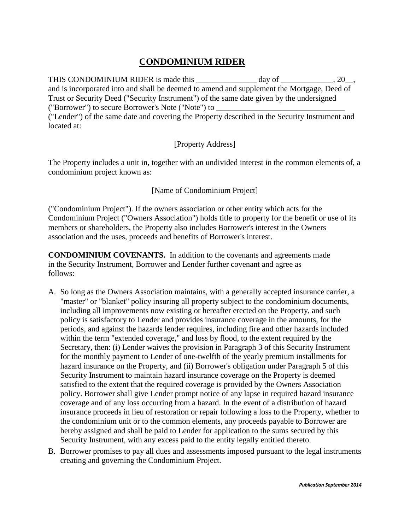## **CONDOMINIUM RIDER**

THIS CONDOMINIUM RIDER is made this \_\_\_\_\_\_\_\_\_\_\_\_\_\_ day of \_\_\_\_\_\_\_\_\_\_, 20\_, and is incorporated into and shall be deemed to amend and supplement the Mortgage, Deed of Trust or Security Deed ("Security Instrument") of the same date given by the undersigned ("Borrower") to secure Borrower's Note ("Note") to \_\_\_\_\_\_\_\_\_\_\_\_\_\_\_\_\_\_\_\_\_\_\_\_\_\_\_\_\_\_\_\_ ("Lender") of the same date and covering the Property described in the Security Instrument and located at:

## [Property Address]

The Property includes a unit in, together with an undivided interest in the common elements of, a condominium project known as:

## [Name of Condominium Project]

("Condominium Project"). If the owners association or other entity which acts for the Condominium Project ("Owners Association") holds title to property for the benefit or use of its members or shareholders, the Property also includes Borrower's interest in the Owners association and the uses, proceeds and benefits of Borrower's interest.

**CONDOMINIUM COVENANTS.** In addition to the covenants and agreements made in the Security Instrument, Borrower and Lender further covenant and agree as follows:

- A. So long as the Owners Association maintains, with a generally accepted insurance carrier, a "master" or "blanket" policy insuring all property subject to the condominium documents, including all improvements now existing or hereafter erected on the Property, and such policy is satisfactory to Lender and provides insurance coverage in the amounts, for the periods, and against the hazards lender requires, including fire and other hazards included within the term "extended coverage," and loss by flood, to the extent required by the Secretary, then: (i) Lender waives the provision in Paragraph 3 of this Security Instrument for the monthly payment to Lender of one-twelfth of the yearly premium installments for hazard insurance on the Property, and (ii) Borrower's obligation under Paragraph 5 of this Security Instrument to maintain hazard insurance coverage on the Property is deemed satisfied to the extent that the required coverage is provided by the Owners Association policy. Borrower shall give Lender prompt notice of any lapse in required hazard insurance coverage and of any loss occurring from a hazard. In the event of a distribution of hazard insurance proceeds in lieu of restoration or repair following a loss to the Property, whether to the condominium unit or to the common elements, any proceeds payable to Borrower are hereby assigned and shall be paid to Lender for application to the sums secured by this Security Instrument, with any excess paid to the entity legally entitled thereto.
- B. Borrower promises to pay all dues and assessments imposed pursuant to the legal instruments creating and governing the Condominium Project.